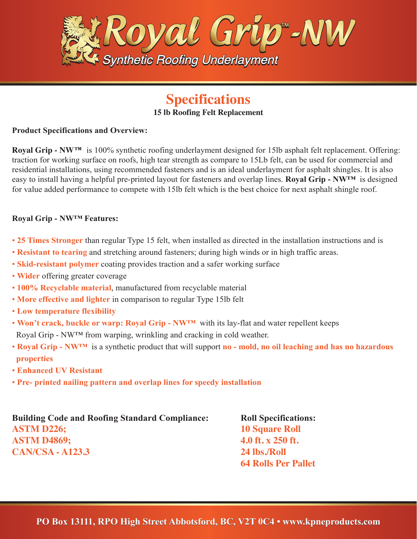

# **Specifications**

#### **15 lb Roofing Felt Replacement**

#### **Product Specifications and Overview:**

**Royal Grip - NW™** is 100% synthetic roofing underlayment designed for 15lb asphalt felt replacement. Offering: traction for working surface on roofs, high tear strength as compare to 15Lb felt, can be used for commercial and residential installations, using recommended fasteners and is an ideal underlayment for asphalt shingles. It is also easy to install having a helpful pre-printed layout for fasteners and overlap lines. **Royal Grip - NW™** is designed for value added performance to compete with 15lb felt which is the best choice for next asphalt shingle roof.

### **Royal Grip - NW™ Features:**

- **25 Times Stronger** than regular Type 15 felt, when installed as directed in the installation instructions and is
- **Resistant to tearing** and stretching around fasteners; during high winds or in high traffic areas.
- **Skid-resistant polymer** coating provides traction and a safer working surface
- **Wider** offering greater coverage
- **100% Recyclable material**, manufactured from recyclable material
- **More effective and lighter** in comparison to regular Type 15lb felt
- **Low temperature flexibility**
- **Won't crack, buckle or warp: Royal Grip NW<sup>TM</sup>** with its lay-flat and water repellent keeps
- Royal Grip NW™ from warping, wrinkling and cracking in cold weather.
- **Royal Grip NW™** is a synthetic product that will support **no mold, no oil leaching and has no hazardous properties**
- **Enhanced UV Resistant**
- **Pre- printed nailing pattern and overlap lines for speedy installation**

| <b>Building Code and Roofing Standard Compliance:</b> |  |
|-------------------------------------------------------|--|
| <b>ASTM D226;</b>                                     |  |
| <b>ASTM D4869;</b>                                    |  |
| <b>CAN/CSA - A123.3</b>                               |  |

**Roll Specifications: 10 Square Roll 4.0 ft. x 250 ft. 24 lbs./Roll 64 Rolls Per Pallet**